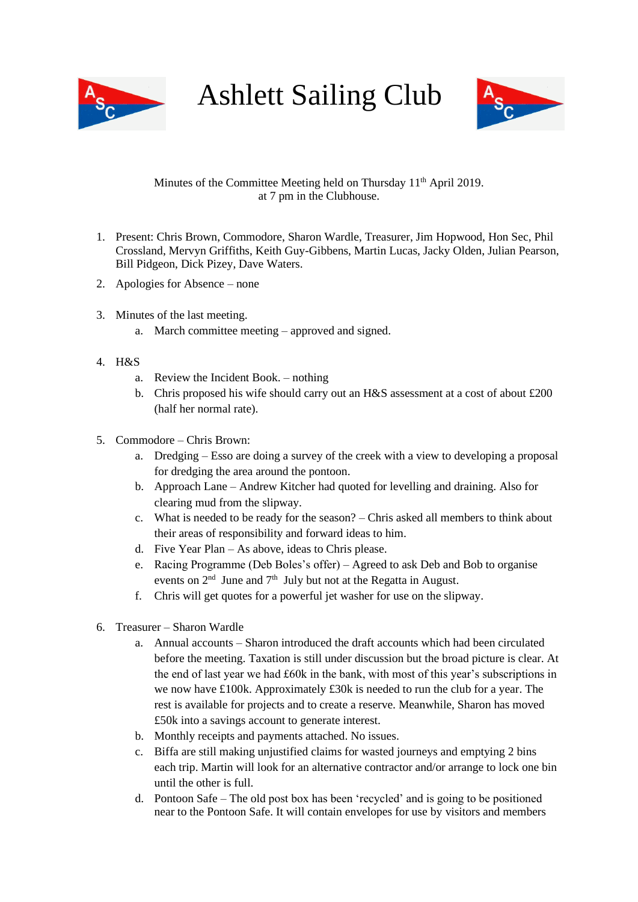

Ashlett Sailing Club



## Minutes of the Committee Meeting held on Thursday 11<sup>th</sup> April 2019. at 7 pm in the Clubhouse.

- 1. Present: Chris Brown, Commodore, Sharon Wardle, Treasurer, Jim Hopwood, Hon Sec, Phil Crossland, Mervyn Griffiths, Keith Guy-Gibbens, Martin Lucas, Jacky Olden, Julian Pearson, Bill Pidgeon, Dick Pizey, Dave Waters.
- 2. Apologies for Absence none
- 3. Minutes of the last meeting.
	- a. March committee meeting approved and signed.
- 4. H&S
	- a. Review the Incident Book. nothing
	- b. Chris proposed his wife should carry out an H&S assessment at a cost of about £200 (half her normal rate).
- 5. Commodore Chris Brown:
	- a. Dredging Esso are doing a survey of the creek with a view to developing a proposal for dredging the area around the pontoon.
	- b. Approach Lane Andrew Kitcher had quoted for levelling and draining. Also for clearing mud from the slipway.
	- c. What is needed to be ready for the season? Chris asked all members to think about their areas of responsibility and forward ideas to him.
	- d. Five Year Plan As above, ideas to Chris please.
	- e. Racing Programme (Deb Boles's offer) Agreed to ask Deb and Bob to organise events on  $2<sup>nd</sup>$  June and  $7<sup>th</sup>$  July but not at the Regatta in August.
	- f. Chris will get quotes for a powerful jet washer for use on the slipway.
- 6. Treasurer Sharon Wardle
	- a. Annual accounts Sharon introduced the draft accounts which had been circulated before the meeting. Taxation is still under discussion but the broad picture is clear. At the end of last year we had £60k in the bank, with most of this year's subscriptions in we now have £100k. Approximately £30k is needed to run the club for a year. The rest is available for projects and to create a reserve. Meanwhile, Sharon has moved £50k into a savings account to generate interest.
	- b. Monthly receipts and payments attached. No issues.
	- c. Biffa are still making unjustified claims for wasted journeys and emptying 2 bins each trip. Martin will look for an alternative contractor and/or arrange to lock one bin until the other is full.
	- d. Pontoon Safe The old post box has been 'recycled' and is going to be positioned near to the Pontoon Safe. It will contain envelopes for use by visitors and members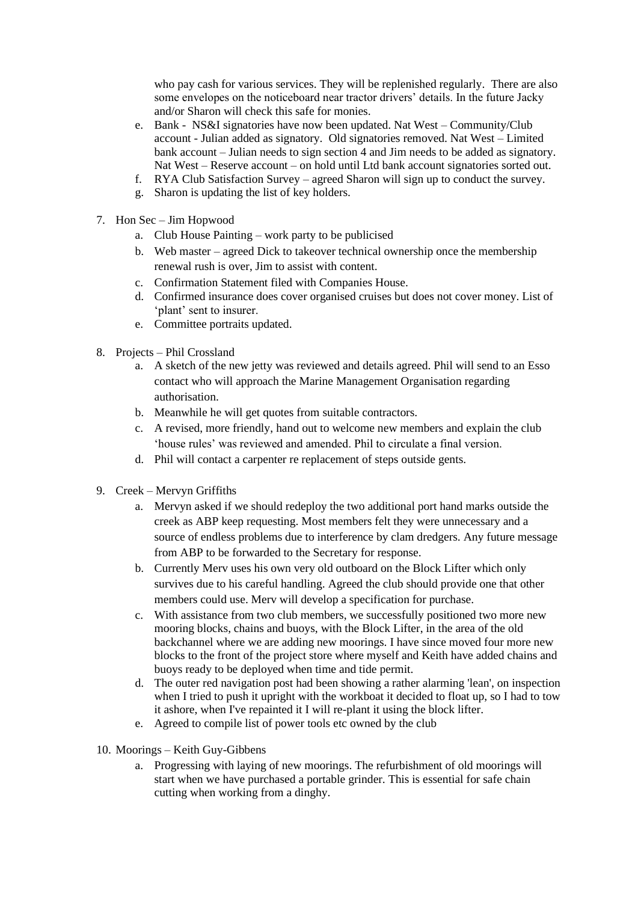who pay cash for various services. They will be replenished regularly. There are also some envelopes on the noticeboard near tractor drivers' details. In the future Jacky and/or Sharon will check this safe for monies.

- e. Bank NS&I signatories have now been updated. Nat West Community/Club account - Julian added as signatory. Old signatories removed. Nat West – Limited bank account – Julian needs to sign section 4 and Jim needs to be added as signatory. Nat West – Reserve account – on hold until Ltd bank account signatories sorted out.
- f. RYA Club Satisfaction Survey agreed Sharon will sign up to conduct the survey.
- g. Sharon is updating the list of key holders.
- 7. Hon Sec Jim Hopwood
	- a. Club House Painting work party to be publicised
	- b. Web master agreed Dick to takeover technical ownership once the membership renewal rush is over, Jim to assist with content.
	- c. Confirmation Statement filed with Companies House.
	- d. Confirmed insurance does cover organised cruises but does not cover money. List of 'plant' sent to insurer.
	- e. Committee portraits updated.
- 8. Projects Phil Crossland
	- a. A sketch of the new jetty was reviewed and details agreed. Phil will send to an Esso contact who will approach the Marine Management Organisation regarding authorisation.
	- b. Meanwhile he will get quotes from suitable contractors.
	- c. A revised, more friendly, hand out to welcome new members and explain the club 'house rules' was reviewed and amended. Phil to circulate a final version.
	- d. Phil will contact a carpenter re replacement of steps outside gents.
- 9. Creek Mervyn Griffiths
	- a. Mervyn asked if we should redeploy the two additional port hand marks outside the creek as ABP keep requesting. Most members felt they were unnecessary and a source of endless problems due to interference by clam dredgers. Any future message from ABP to be forwarded to the Secretary for response.
	- b. Currently Merv uses his own very old outboard on the Block Lifter which only survives due to his careful handling. Agreed the club should provide one that other members could use. Merv will develop a specification for purchase.
	- c. With assistance from two club members, we successfully positioned two more new mooring blocks, chains and buoys, with the Block Lifter, in the area of the old backchannel where we are adding new moorings. I have since moved four more new blocks to the front of the project store where myself and Keith have added chains and buoys ready to be deployed when time and tide permit.
	- d. The outer red navigation post had been showing a rather alarming 'lean', on inspection when I tried to push it upright with the workboat it decided to float up, so I had to tow it ashore, when I've repainted it I will re-plant it using the block lifter.
	- e. Agreed to compile list of power tools etc owned by the club
- 10. Moorings Keith Guy-Gibbens
	- a. Progressing with laying of new moorings. The refurbishment of old moorings will start when we have purchased a portable grinder. This is essential for safe chain cutting when working from a dinghy.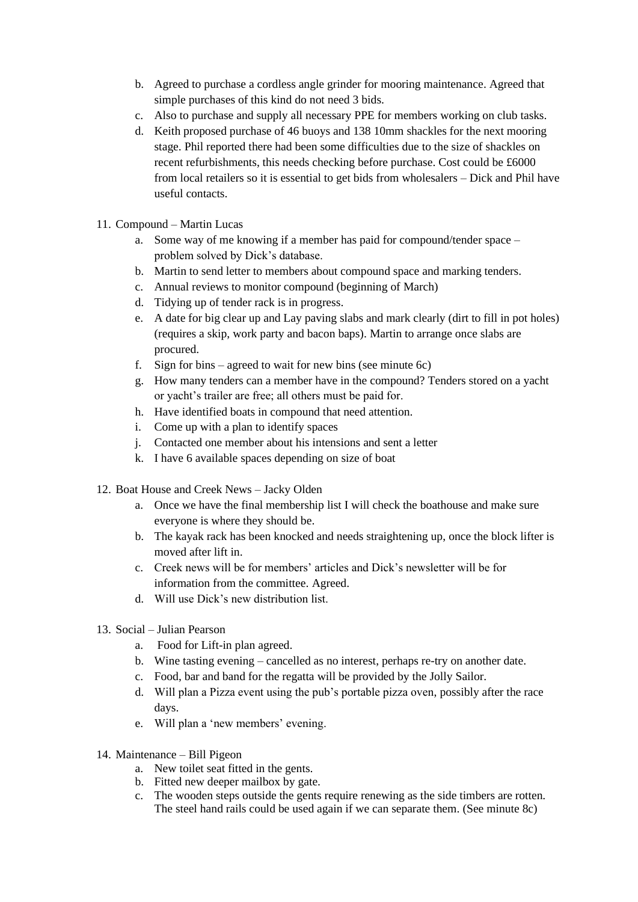- b. Agreed to purchase a cordless angle grinder for mooring maintenance. Agreed that simple purchases of this kind do not need 3 bids.
- c. Also to purchase and supply all necessary PPE for members working on club tasks.
- d. Keith proposed purchase of 46 buoys and 138 10mm shackles for the next mooring stage. Phil reported there had been some difficulties due to the size of shackles on recent refurbishments, this needs checking before purchase. Cost could be £6000 from local retailers so it is essential to get bids from wholesalers – Dick and Phil have useful contacts.
- 11. Compound Martin Lucas
	- a. Some way of me knowing if a member has paid for compound/tender space problem solved by Dick's database.
	- b. Martin to send letter to members about compound space and marking tenders.
	- c. Annual reviews to monitor compound (beginning of March)
	- d. Tidying up of tender rack is in progress.
	- e. A date for big clear up and Lay paving slabs and mark clearly (dirt to fill in pot holes) (requires a skip, work party and bacon baps). Martin to arrange once slabs are procured.
	- f. Sign for bins agreed to wait for new bins (see minute 6c)
	- g. How many tenders can a member have in the compound? Tenders stored on a yacht or yacht's trailer are free; all others must be paid for.
	- h. Have identified boats in compound that need attention.
	- i. Come up with a plan to identify spaces
	- j. Contacted one member about his intensions and sent a letter
	- k. I have 6 available spaces depending on size of boat
- 12. Boat House and Creek News Jacky Olden
	- a. Once we have the final membership list I will check the boathouse and make sure everyone is where they should be.
	- b. The kayak rack has been knocked and needs straightening up, once the block lifter is moved after lift in.
	- c. Creek news will be for members' articles and Dick's newsletter will be for information from the committee. Agreed.
	- d. Will use Dick's new distribution list.
- 13. Social Julian Pearson
	- a. Food for Lift-in plan agreed.
	- b. Wine tasting evening cancelled as no interest, perhaps re-try on another date.
	- c. Food, bar and band for the regatta will be provided by the Jolly Sailor.
	- d. Will plan a Pizza event using the pub's portable pizza oven, possibly after the race days.
	- e. Will plan a 'new members' evening.
- 14. Maintenance Bill Pigeon
	- a. New toilet seat fitted in the gents.
	- b. Fitted new deeper mailbox by gate.
	- c. The wooden steps outside the gents require renewing as the side timbers are rotten. The steel hand rails could be used again if we can separate them. (See minute 8c)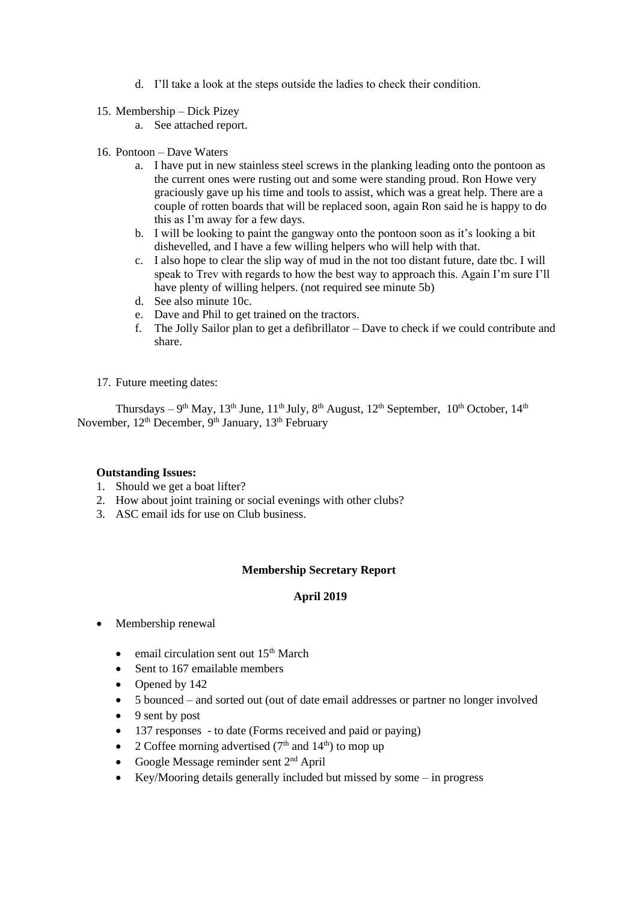- d. I'll take a look at the steps outside the ladies to check their condition.
- 15. Membership Dick Pizey
	- a. See attached report.
- 16. Pontoon Dave Waters
	- a. I have put in new stainless steel screws in the planking leading onto the pontoon as the current ones were rusting out and some were standing proud. Ron Howe very graciously gave up his time and tools to assist, which was a great help. There are a couple of rotten boards that will be replaced soon, again Ron said he is happy to do this as I'm away for a few days.
	- b. I will be looking to paint the gangway onto the pontoon soon as it's looking a bit dishevelled, and I have a few willing helpers who will help with that.
	- c. I also hope to clear the slip way of mud in the not too distant future, date tbc. I will speak to Trev with regards to how the best way to approach this. Again I'm sure I'll have plenty of willing helpers. (not required see minute 5b)
	- d. See also minute 10c.
	- e. Dave and Phil to get trained on the tractors.
	- f. The Jolly Sailor plan to get a defibrillator Dave to check if we could contribute and share.
- 17. Future meeting dates:

Thursdays – 9<sup>th</sup> May, 13<sup>th</sup> June, 11<sup>th</sup> July, 8<sup>th</sup> August, 12<sup>th</sup> September, 10<sup>th</sup> October, 14<sup>th</sup> November,  $12^{th}$  December,  $9^{th}$  January,  $13^{th}$  February

## **Outstanding Issues:**

- 1. Should we get a boat lifter?
- 2. How about joint training or social evenings with other clubs?
- 3. ASC email ids for use on Club business.

## **Membership Secretary Report**

## **April 2019**

- Membership renewal
	- email circulation sent out  $15<sup>th</sup>$  March
	- Sent to 167 emailable members
	- Opened by 142
	- 5 bounced and sorted out (out of date email addresses or partner no longer involved
	- 9 sent by post
	- 137 responses to date (Forms received and paid or paying)
	- 2 Coffee morning advertised  $(7<sup>th</sup>$  and  $14<sup>th</sup>)$  to mop up
	- Google Message reminder sent  $2<sup>nd</sup>$  April
	- Key/Mooring details generally included but missed by some in progress